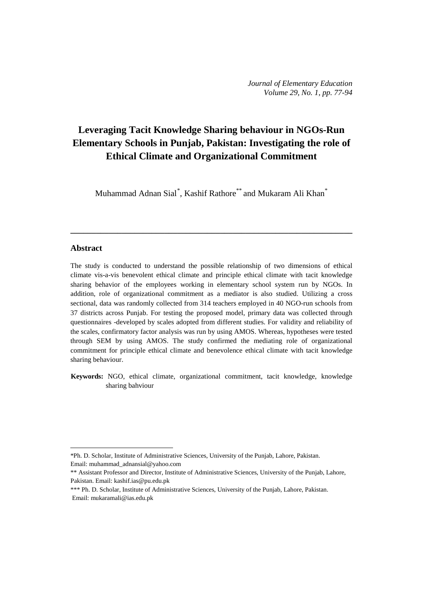# **Leveraging Tacit Knowledge Sharing behaviour in NGOs-Run Elementary Schools in Punjab, Pakistan: Investigating the role of Ethical Climate and Organizational Commitment**

Muhammad Adnan Sial $^*$  $^*$ , Kashif Rathore $^{**}$  and Mukaram Ali Khan $^{*}$ 

**\_\_\_\_\_\_\_\_\_\_\_\_\_\_\_\_\_\_\_\_\_\_\_\_\_\_\_\_\_\_\_\_\_\_\_\_\_\_\_\_\_\_\_\_\_\_\_\_\_\_\_\_\_\_\_\_\_\_\_\_\_\_\_\_\_\_**

# **Abstract**

 $\overline{a}$ 

The study is conducted to understand the possible relationship of two dimensions of ethical climate vis-a-vis benevolent ethical climate and principle ethical climate with tacit knowledge sharing behavior of the employees working in elementary school system run by NGOs. In addition, role of organizational commitment as a mediator is also studied. Utilizing a cross sectional, data was randomly collected from 314 teachers employed in 40 NGO-run schools from 37 districts across Punjab. For testing the proposed model, primary data was collected through questionnaires -developed by scales adopted from different studies. For validity and reliability of the scales, confirmatory factor analysis was run by using AMOS. Whereas, hypotheses were tested through SEM by using AMOS. The study confirmed the mediating role of organizational commitment for principle ethical climate and benevolence ethical climate with tacit knowledge sharing behaviour.

**Keywords:** NGO, ethical climate, organizational commitment, tacit knowledge, knowledge sharing bahviour

<span id="page-0-0"></span><sup>\*</sup>Ph. D. Scholar, Institute of Administrative Sciences, University of the Punjab, Lahore, Pakistan. Email: muhammad\_adnansial@yahoo.com

<sup>\*\*</sup> Assistant Professor and Director, Institute of Administrative Sciences, University of the Punjab, Lahore, Pakistan. Email: [kashif.ias@pu.edu.pk](mailto:kashif.ias@pu.edu.pk)

<sup>\*\*\*</sup> Ph. D. Scholar, Institute of Administrative Sciences, University of the Punjab, Lahore, Pakistan. Email: mukaramali@ias.edu.pk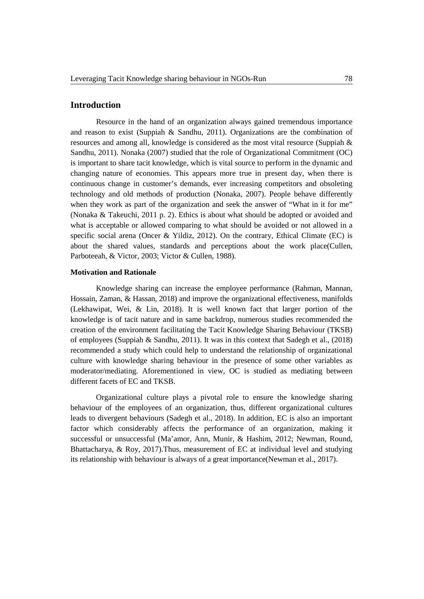# **Introduction**

Resource in the hand of an organization always gained tremendous importance and reason to exist (Suppiah & Sandhu, 2011). Organizations are the combination of resources and among all, knowledge is considered as the most vital resource (Suppiah & Sandhu, 2011). Nonaka (2007) studied that the role of Organizational Commitment (OC) is important to share tacit knowledge, which is vital source to perform in the dynamic and changing nature of economies. This appears more true in present day, when there is continuous change in customer's demands, ever increasing competitors and obsoleting technology and old methods of production (Nonaka, 2007). People behave differently when they work as part of the organization and seek the answer of "What in it for me" (Nonaka & Takeuchi, 2011 p. 2). Ethics is about what should be adopted or avoided and what is acceptable or allowed comparing to what should be avoided or not allowed in a specific social arena (Oncer & Yildiz, 2012). On the contrary, Ethical Climate (EC) is about the shared values, standards and perceptions about the work place(Cullen, Parboteeah, & Victor, 2003; Victor & Cullen, 1988).

#### **Motivation and Rationale**

Knowledge sharing can increase the employee performance (Rahman, Mannan, Hossain, Zaman, & Hassan, 2018) and improve the organizational effectiveness, manifolds (Lekhawipat, Wei, & Lin, 2018). It is well known fact that larger portion of the knowledge is of tacit nature and in same backdrop, numerous studies recommended the creation of the environment facilitating the Tacit Knowledge Sharing Behaviour (TKSB) of employees (Suppiah & Sandhu, 2011). It was in this context that Sadegh et al., (2018) recommended a study which could help to understand the relationship of organizational culture with knowledge sharing behaviour in the presence of some other variables as moderator/mediating. Aforementioned in view, OC is studied as mediating between different facets of EC and TKSB.

Organizational culture plays a pivotal role to ensure the knowledge sharing behaviour of the employees of an organization, thus, different organizational cultures leads to divergent behaviours (Sadegh et al., 2018). In addition, EC is also an important factor which considerably affects the performance of an organization, making it successful or unsuccessful (Ma'amor, Ann, Munir, & Hashim, 2012; Newman, Round, Bhattacharya, & Roy, 2017).Thus, measurement of EC at individual level and studying its relationship with behaviour is always of a great importance(Newman et al., 2017).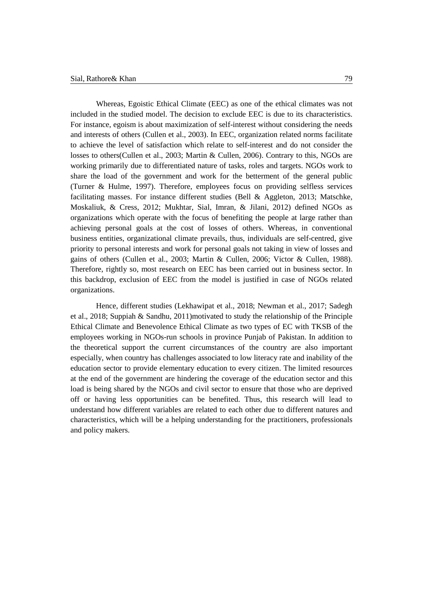Whereas, Egoistic Ethical Climate (EEC) as one of the ethical climates was not included in the studied model. The decision to exclude EEC is due to its characteristics. For instance, egoism is about maximization of self-interest without considering the needs and interests of others (Cullen et al., 2003). In EEC, organization related norms facilitate to achieve the level of satisfaction which relate to self-interest and do not consider the losses to others(Cullen et al., 2003; Martin & Cullen, 2006). Contrary to this, NGOs are working primarily due to differentiated nature of tasks, roles and targets. NGOs work to share the load of the government and work for the betterment of the general public (Turner & Hulme, 1997). Therefore, employees focus on providing selfless services facilitating masses. For instance different studies (Bell & Aggleton, 2013; Matschke, Moskaliuk, & Cress, 2012; Mukhtar, Sial, Imran, & Jilani, 2012) defined NGOs as organizations which operate with the focus of benefiting the people at large rather than achieving personal goals at the cost of losses of others. Whereas, in conventional business entities, organizational climate prevails, thus, individuals are self-centred, give priority to personal interests and work for personal goals not taking in view of losses and gains of others (Cullen et al., 2003; Martin & Cullen, 2006; Victor & Cullen, 1988). Therefore, rightly so, most research on EEC has been carried out in business sector. In this backdrop, exclusion of EEC from the model is justified in case of NGOs related organizations.

Hence, different studies (Lekhawipat et al., 2018; Newman et al., 2017; Sadegh et al., 2018; Suppiah & Sandhu, 2011)motivated to study the relationship of the Principle Ethical Climate and Benevolence Ethical Climate as two types of EC with TKSB of the employees working in NGOs-run schools in province Punjab of Pakistan. In addition to the theoretical support the current circumstances of the country are also important especially, when country has challenges associated to low literacy rate and inability of the education sector to provide elementary education to every citizen. The limited resources at the end of the government are hindering the coverage of the education sector and this load is being shared by the NGOs and civil sector to ensure that those who are deprived off or having less opportunities can be benefited. Thus, this research will lead to understand how different variables are related to each other due to different natures and characteristics, which will be a helping understanding for the practitioners, professionals and policy makers.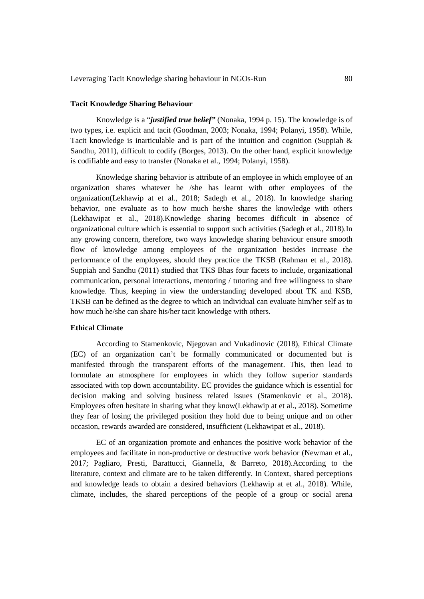### **Tacit Knowledge Sharing Behaviour**

Knowledge is a "*justified true belief"* (Nonaka, 1994 p. 15). The knowledge is of two types, i.e. explicit and tacit (Goodman, 2003; Nonaka, 1994; Polanyi, 1958). While, Tacit knowledge is inarticulable and is part of the intuition and cognition (Suppiah  $\&$ Sandhu, 2011), difficult to codify (Borges, 2013). On the other hand, explicit knowledge is codifiable and easy to transfer (Nonaka et al., 1994; Polanyi, 1958).

Knowledge sharing behavior is attribute of an employee in which employee of an organization shares whatever he /she has learnt with other employees of the organization(Lekhawip at et al., 2018; Sadegh et al., 2018). In knowledge sharing behavior, one evaluate as to how much he/she shares the knowledge with others (Lekhawipat et al., 2018).Knowledge sharing becomes difficult in absence of organizational culture which is essential to support such activities (Sadegh et al., 2018).In any growing concern, therefore, two ways knowledge sharing behaviour ensure smooth flow of knowledge among employees of the organization besides increase the performance of the employees, should they practice the TKSB (Rahman et al., 2018). Suppiah and Sandhu (2011) studied that TKS Bhas four facets to include, organizational communication, personal interactions, mentoring / tutoring and free willingness to share knowledge. Thus, keeping in view the understanding developed about TK and KSB, TKSB can be defined as the degree to which an individual can evaluate him/her self as to how much he/she can share his/her tacit knowledge with others.

### **Ethical Climate**

According to Stamenkovic, Njegovan and Vukadinovic (2018), Ethical Climate (EC) of an organization can't be formally communicated or documented but is manifested through the transparent efforts of the management. This, then lead to formulate an atmosphere for employees in which they follow superior standards associated with top down accountability. EC provides the guidance which is essential for decision making and solving business related issues (Stamenkovic et al., 2018). Employees often hesitate in sharing what they know(Lekhawip at et al., 2018). Sometime they fear of losing the privileged position they hold due to being unique and on other occasion, rewards awarded are considered, insufficient (Lekhawipat et al., 2018).

EC of an organization promote and enhances the positive work behavior of the employees and facilitate in non-productive or destructive work behavior (Newman et al., 2017; Pagliaro, Presti, Barattucci, Giannella, & Barreto, 2018).According to the literature, context and climate are to be taken differently. In Context, shared perceptions and knowledge leads to obtain a desired behaviors (Lekhawip at et al., 2018). While, climate, includes, the shared perceptions of the people of a group or social arena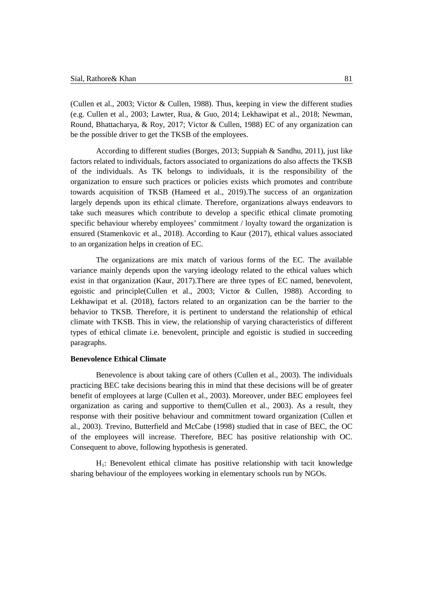(Cullen et al., 2003; Victor & Cullen, 1988). Thus, keeping in view the different studies (e.g. Cullen et al., 2003; Lawter, Rua, & Guo, 2014; Lekhawipat et al., 2018; Newman, Round, Bhattacharya, & Roy, 2017; Victor & Cullen, 1988) EC of any organization can be the possible driver to get the TKSB of the employees.

According to different studies (Borges, 2013; Suppiah & Sandhu, 2011), just like factors related to individuals, factors associated to organizations do also affects the TKSB of the individuals. As TK belongs to individuals, it is the responsibility of the organization to ensure such practices or policies exists which promotes and contribute towards acquisition of TKSB (Hameed et al., 2019).The success of an organization largely depends upon its ethical climate. Therefore, organizations always endeavors to take such measures which contribute to develop a specific ethical climate promoting specific behaviour whereby employees' commitment / loyalty toward the organization is ensured (Stamenkovic et al., 2018). According to Kaur (2017), ethical values associated to an organization helps in creation of EC.

The organizations are mix match of various forms of the EC. The available variance mainly depends upon the varying ideology related to the ethical values which exist in that organization (Kaur, 2017).There are three types of EC named, benevolent, egoistic and principle(Cullen et al., 2003; Victor & Cullen, 1988). According to Lekhawipat et al. (2018), factors related to an organization can be the barrier to the behavior to TKSB. Therefore, it is pertinent to understand the relationship of ethical climate with TKSB. This in view, the relationship of varying characteristics of different types of ethical climate i.e. benevolent, principle and egoistic is studied in succeeding paragraphs.

# **Benevolence Ethical Climate**

Benevolence is about taking care of others (Cullen et al., 2003). The individuals practicing BEC take decisions bearing this in mind that these decisions will be of greater benefit of employees at large (Cullen et al., 2003). Moreover, under BEC employees feel organization as caring and supportive to them(Cullen et al., 2003). As a result, they response with their positive behaviour and commitment toward organization (Cullen et al., 2003). Trevino, Butterfield and McCabe (1998) studied that in case of BEC, the OC of the employees will increase. Therefore, BEC has positive relationship with OC. Consequent to above, following hypothesis is generated.

H1: Benevolent ethical climate has positive relationship with tacit knowledge sharing behaviour of the employees working in elementary schools run by NGOs.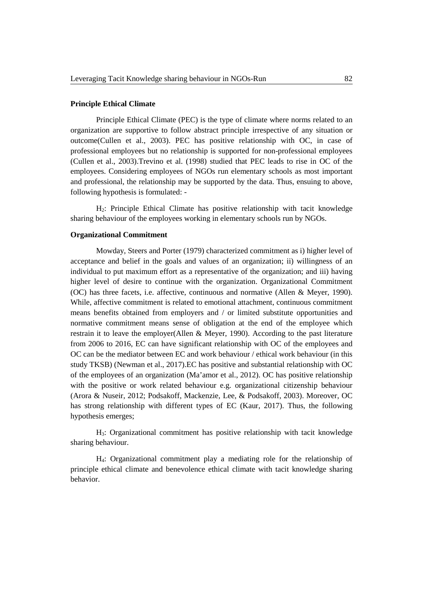#### **Principle Ethical Climate**

Principle Ethical Climate (PEC) is the type of climate where norms related to an organization are supportive to follow abstract principle irrespective of any situation or outcome(Cullen et al., 2003). PEC has positive relationship with OC, in case of professional employees but no relationship is supported for non-professional employees (Cullen et al., 2003).Trevino et al. (1998) studied that PEC leads to rise in OC of the employees. Considering employees of NGOs run elementary schools as most important and professional, the relationship may be supported by the data. Thus, ensuing to above, following hypothesis is formulated: -

H2: Principle Ethical Climate has positive relationship with tacit knowledge sharing behaviour of the employees working in elementary schools run by NGOs.

#### **Organizational Commitment**

Mowday, Steers and Porter (1979) characterized commitment as i) higher level of acceptance and belief in the goals and values of an organization; ii) willingness of an individual to put maximum effort as a representative of the organization; and iii) having higher level of desire to continue with the organization. Organizational Commitment (OC) has three facets, i.e. affective, continuous and normative (Allen & Meyer, 1990). While, affective commitment is related to emotional attachment, continuous commitment means benefits obtained from employers and / or limited substitute opportunities and normative commitment means sense of obligation at the end of the employee which restrain it to leave the employer(Allen & Meyer, 1990). According to the past literature from 2006 to 2016, EC can have significant relationship with OC of the employees and OC can be the mediator between EC and work behaviour / ethical work behaviour (in this study TKSB) (Newman et al., 2017).EC has positive and substantial relationship with OC of the employees of an organization (Ma'amor et al., 2012). OC has positive relationship with the positive or work related behaviour e.g. organizational citizenship behaviour (Arora & Nuseir, 2012; Podsakoff, Mackenzie, Lee, & Podsakoff, 2003). Moreover, OC has strong relationship with different types of EC (Kaur, 2017). Thus, the following hypothesis emerges;

H3: Organizational commitment has positive relationship with tacit knowledge sharing behaviour.

H4: Organizational commitment play a mediating role for the relationship of principle ethical climate and benevolence ethical climate with tacit knowledge sharing behavior.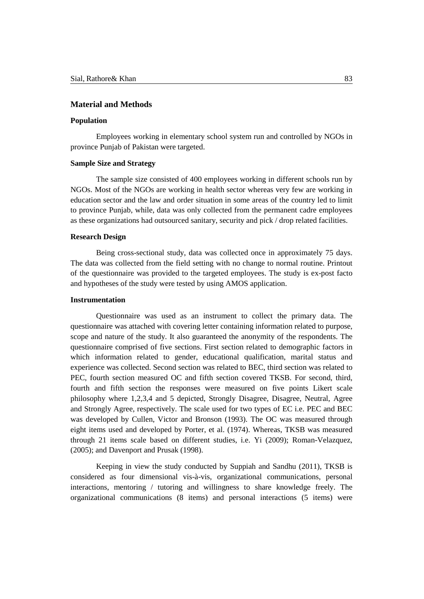## **Material and Methods**

# **Population**

Employees working in elementary school system run and controlled by NGOs in province Punjab of Pakistan were targeted.

## **Sample Size and Strategy**

The sample size consisted of 400 employees working in different schools run by NGOs. Most of the NGOs are working in health sector whereas very few are working in education sector and the law and order situation in some areas of the country led to limit to province Punjab, while, data was only collected from the permanent cadre employees as these organizations had outsourced sanitary, security and pick / drop related facilities.

### **Research Design**

Being cross-sectional study, data was collected once in approximately 75 days. The data was collected from the field setting with no change to normal routine. Printout of the questionnaire was provided to the targeted employees. The study is ex-post facto and hypotheses of the study were tested by using AMOS application.

## **Instrumentation**

Questionnaire was used as an instrument to collect the primary data. The questionnaire was attached with covering letter containing information related to purpose, scope and nature of the study. It also guaranteed the anonymity of the respondents. The questionnaire comprised of five sections. First section related to demographic factors in which information related to gender, educational qualification, marital status and experience was collected. Second section was related to BEC, third section was related to PEC, fourth section measured OC and fifth section covered TKSB. For second, third, fourth and fifth section the responses were measured on five points Likert scale philosophy where 1,2,3,4 and 5 depicted, Strongly Disagree, Disagree, Neutral, Agree and Strongly Agree, respectively. The scale used for two types of EC i.e. PEC and BEC was developed by Cullen, Victor and Bronson (1993). The OC was measured through eight items used and developed by Porter, et al. (1974). Whereas, TKSB was measured through 21 items scale based on different studies, i.e. Yi (2009); Roman-Velazquez, (2005); and Davenport and Prusak (1998).

Keeping in view the study conducted by Suppiah and Sandhu (2011), TKSB is considered as four dimensional vis-à-vis, organizational communications, personal interactions, mentoring / tutoring and willingness to share knowledge freely. The organizational communications (8 items) and personal interactions (5 items) were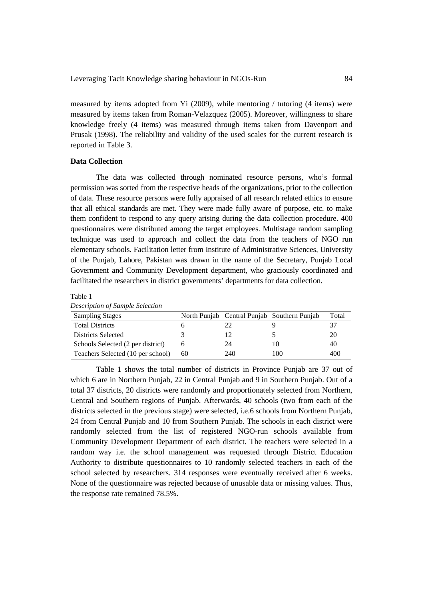measured by items adopted from Yi (2009), while mentoring / tutoring (4 items) were measured by items taken from Roman-Velazquez (2005). Moreover, willingness to share knowledge freely (4 items) was measured through items taken from Davenport and Prusak (1998). The reliability and validity of the used scales for the current research is reported in Table 3.

#### **Data Collection**

The data was collected through nominated resource persons, who's formal permission was sorted from the respective heads of the organizations, prior to the collection of data. These resource persons were fully appraised of all research related ethics to ensure that all ethical standards are met. They were made fully aware of purpose, etc. to make them confident to respond to any query arising during the data collection procedure. 400 questionnaires were distributed among the target employees. Multistage random sampling technique was used to approach and collect the data from the teachers of NGO run elementary schools. Facilitation letter from Institute of Administrative Sciences, University of the Punjab, Lahore, Pakistan was drawn in the name of the Secretary, Punjab Local Government and Community Development department, who graciously coordinated and facilitated the researchers in district governments' departments for data collection.

|--|--|

| Description of sumple selection   |    |     |                                             |       |
|-----------------------------------|----|-----|---------------------------------------------|-------|
| <b>Sampling Stages</b>            |    |     | North Punjab Central Punjab Southern Punjab | Total |
| <b>Total Districts</b>            |    |     |                                             |       |
| Districts Selected                |    |     |                                             | 20    |
| Schools Selected (2 per district) |    | 24  | 10                                          | 40    |
| Teachers Selected (10 per school) | 60 | 240 | 100                                         | 400   |

*Description of Sample Selection*

Table 1 shows the total number of districts in Province Punjab are 37 out of which 6 are in Northern Punjab, 22 in Central Punjab and 9 in Southern Punjab. Out of a total 37 districts, 20 districts were randomly and proportionately selected from Northern, Central and Southern regions of Punjab. Afterwards, 40 schools (two from each of the districts selected in the previous stage) were selected, i.e.6 schools from Northern Punjab, 24 from Central Punjab and 10 from Southern Punjab. The schools in each district were randomly selected from the list of registered NGO-run schools available from Community Development Department of each district. The teachers were selected in a random way i.e. the school management was requested through District Education Authority to distribute questionnaires to 10 randomly selected teachers in each of the school selected by researchers. 314 responses were eventually received after 6 weeks. None of the questionnaire was rejected because of unusable data or missing values. Thus, the response rate remained 78.5%.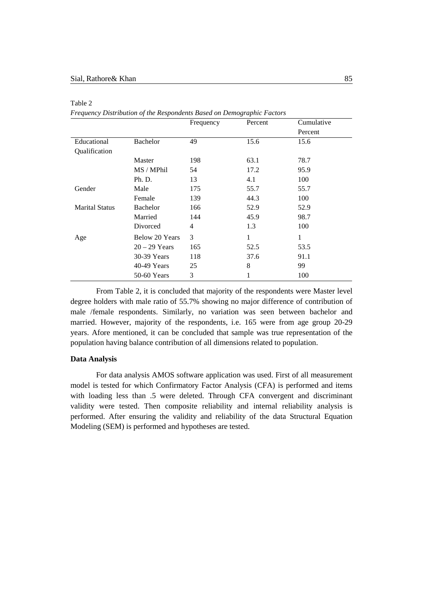|                       |                 | Frequency | Percent | Cumulative   |
|-----------------------|-----------------|-----------|---------|--------------|
|                       |                 |           |         | Percent      |
| Educational           | <b>Bachelor</b> | 49        | 15.6    | 15.6         |
| Qualification         |                 |           |         |              |
|                       | Master          | 198       | 63.1    | 78.7         |
|                       | MS / MPhil      | 54        | 17.2    | 95.9         |
|                       | Ph. D.          | 13        | 4.1     | 100          |
| Gender                | Male            | 175       | 55.7    | 55.7         |
|                       | Female          | 139       | 44.3    | 100          |
| <b>Marital Status</b> | Bachelor        | 166       | 52.9    | 52.9         |
|                       | Married         | 144       | 45.9    | 98.7         |
|                       | Divorced        | 4         | 1.3     | 100          |
| Age                   | Below 20 Years  | 3         | 1       | $\mathbf{1}$ |
|                       | $20 - 29$ Years | 165       | 52.5    | 53.5         |
|                       | 30-39 Years     | 118       | 37.6    | 91.1         |
|                       | 40-49 Years     | 25        | 8       | 99           |
|                       | 50-60 Years     | 3         |         | 100          |

Table 2

*Frequency Distribution of the Respondents Based on Demographic Factors*

From Table 2, it is concluded that majority of the respondents were Master level degree holders with male ratio of 55.7% showing no major difference of contribution of male /female respondents. Similarly, no variation was seen between bachelor and married. However, majority of the respondents, i.e. 165 were from age group 20-29 years. Afore mentioned, it can be concluded that sample was true representation of the population having balance contribution of all dimensions related to population.

#### **Data Analysis**

For data analysis AMOS software application was used. First of all measurement model is tested for which Confirmatory Factor Analysis (CFA) is performed and items with loading less than .5 were deleted. Through CFA convergent and discriminant validity were tested. Then composite reliability and internal reliability analysis is performed. After ensuring the validity and reliability of the data Structural Equation Modeling (SEM) is performed and hypotheses are tested.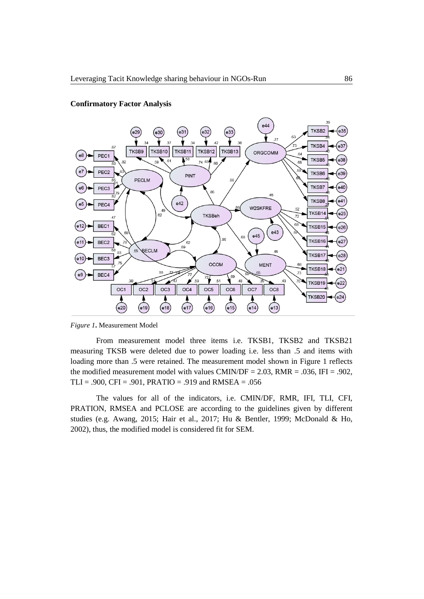



*Figure 1***.** Measurement Model

From measurement model three items i.e. TKSB1, TKSB2 and TKSB21 measuring TKSB were deleted due to power loading i.e. less than .5 and items with loading more than .5 were retained. The measurement model shown in Figure 1 reflects the modified measurement model with values CMIN/DF =  $2.03$ , RMR =  $.036$ , IFI =  $.902$ , TLI = .900, CFI = .901, PRATIO = .919 and RMSEA = .056

The values for all of the indicators, i.e. CMIN/DF, RMR, IFI, TLI, CFI, PRATION, RMSEA and PCLOSE are according to the guidelines given by different studies (e.g. Awang, 2015; Hair et al., 2017; Hu & Bentler, 1999; McDonald & Ho, 2002), thus, the modified model is considered fit for SEM.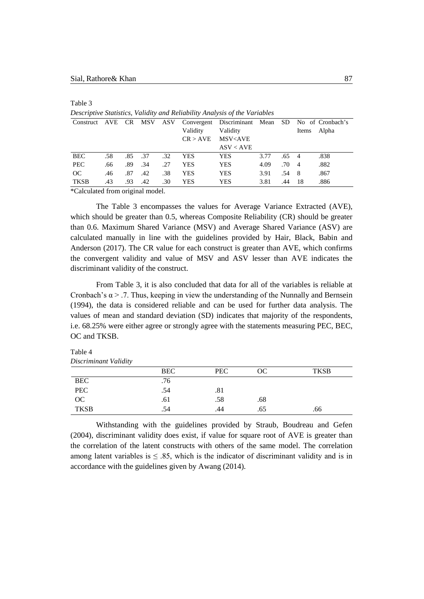Table 3

| Descriptive Statistics, Valian y and Rendomly Andrysis of the Variables |     |     |     |     |            |                                                             |      |               |       |       |
|-------------------------------------------------------------------------|-----|-----|-----|-----|------------|-------------------------------------------------------------|------|---------------|-------|-------|
| Construct                                                               | AVE | CR  | MSV | ASV |            | Convergent Discriminant Mean SD No of Cronbach's            |      |               |       |       |
|                                                                         |     |     |     |     | Validity   | Validity                                                    |      |               | Items | Alpha |
|                                                                         |     |     |     |     | CR > AVE   | MSV <ave< td=""><td></td><td></td><td></td><td></td></ave<> |      |               |       |       |
|                                                                         |     |     |     |     |            | ASV < AVE                                                   |      |               |       |       |
| <b>BEC</b>                                                              | .58 | .85 | .37 | .32 | YES.       | <b>YES</b>                                                  | 3.77 | $.65 \quad 4$ |       | .838  |
| <b>PEC</b>                                                              | .66 | .89 | .34 | .27 | <b>YES</b> | <b>YES</b>                                                  | 4.09 | $.70 \quad 4$ |       | .882  |
| OC                                                                      | .46 | .87 | .42 | .38 | YES        | <b>YES</b>                                                  | 3.91 | .54           | - 8   | .867  |
| <b>TKSB</b>                                                             | .43 | .93 | .42 | .30 | YES        | <b>YES</b>                                                  | 3.81 | .44           | -18   | .886  |
|                                                                         |     |     |     |     |            |                                                             |      |               |       |       |

*Descriptive Statistics, Validity and Reliability Analysis of the Variables*

\*Calculated from original model.

The Table 3 encompasses the values for Average Variance Extracted (AVE), which should be greater than 0.5, whereas Composite Reliability (CR) should be greater than 0.6. Maximum Shared Variance (MSV) and Average Shared Variance (ASV) are calculated manually in line with the guidelines provided by Hair, Black, Babin and Anderson (2017). The CR value for each construct is greater than AVE, which confirms the convergent validity and value of MSV and ASV lesser than AVE indicates the discriminant validity of the construct.

From Table 3, it is also concluded that data for all of the variables is reliable at Cronbach's  $\alpha$  > .7. Thus, keeping in view the understanding of the Nunnally and Bernsein (1994), the data is considered reliable and can be used for further data analysis. The values of mean and standard deviation (SD) indicates that majority of the respondents, i.e. 68.25% were either agree or strongly agree with the statements measuring PEC, BEC, OC and TKSB.

Table 4 *Discriminant Validity*

|             | <b>BEC</b> | <b>PEC</b> | OC  | <b>TKSB</b> |
|-------------|------------|------------|-----|-------------|
| <b>BEC</b>  | .76        |            |     |             |
| <b>PEC</b>  | .54        | .81        |     |             |
| OC          | .61        | .58        | .68 |             |
| <b>TKSB</b> | .54        | .44        | .65 | .66         |

Withstanding with the guidelines provided by Straub, Boudreau and Gefen (2004), discriminant validity does exist, if value for square root of AVE is greater than the correlation of the latent constructs with others of the same model. The correlation among latent variables is  $\leq 0.85$ , which is the indicator of discriminant validity and is in accordance with the guidelines given by Awang (2014).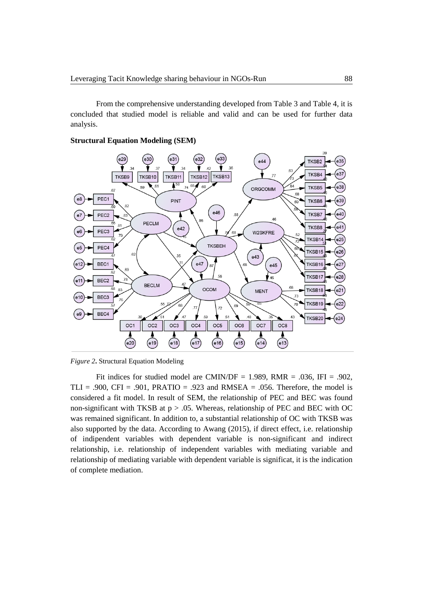From the comprehensive understanding developed from Table 3 and Table 4, it is concluded that studied model is reliable and valid and can be used for further data analysis.

# **Structural Equation Modeling (SEM)**



*Figure 2***.** Structural Equation Modeling

Fit indices for studied model are CMIN/DF = 1.989, RMR = .036, IFI = .902, TLI = .900, CFI = .901, PRATIO = .923 and RMSEA = .056. Therefore, the model is considered a fit model. In result of SEM, the relationship of PEC and BEC was found non-significant with TKSB at  $p > .05$ . Whereas, relationship of PEC and BEC with OC was remained significant. In addition to, a substantial relationship of OC with TKSB was also supported by the data. According to Awang (2015), if direct effect, i.e. relationship of indipendent variables with dependent variable is non-significant and indirect relationship, i.e. relationship of independent variables with mediating variable and relationship of mediating variable with dependent variable is significat, it is the indication of complete mediation.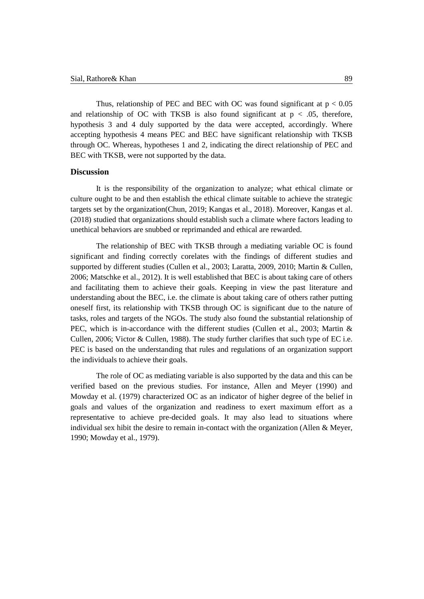Thus, relationship of PEC and BEC with OC was found significant at  $p < 0.05$ and relationship of OC with TKSB is also found significant at  $p < .05$ , therefore, hypothesis 3 and 4 duly supported by the data were accepted, accordingly. Where accepting hypothesis 4 means PEC and BEC have significant relationship with TKSB through OC. Whereas, hypotheses 1 and 2, indicating the direct relationship of PEC and BEC with TKSB, were not supported by the data.

## **Discussion**

It is the responsibility of the organization to analyze; what ethical climate or culture ought to be and then establish the ethical climate suitable to achieve the strategic targets set by the organization(Chun, 2019; Kangas et al., 2018). Moreover, Kangas et al. (2018) studied that organizations should establish such a climate where factors leading to unethical behaviors are snubbed or reprimanded and ethical are rewarded.

The relationship of BEC with TKSB through a mediating variable OC is found significant and finding correctly corelates with the findings of different studies and supported by different studies (Cullen et al., 2003; Laratta, 2009, 2010; Martin & Cullen, 2006; Matschke et al., 2012). It is well established that BEC is about taking care of others and facilitating them to achieve their goals. Keeping in view the past literature and understanding about the BEC, i.e. the climate is about taking care of others rather putting oneself first, its relationship with TKSB through OC is significant due to the nature of tasks, roles and targets of the NGOs. The study also found the substantial relationship of PEC, which is in-accordance with the different studies (Cullen et al., 2003; Martin & Cullen, 2006; Victor & Cullen, 1988). The study further clarifies that such type of EC i.e. PEC is based on the understanding that rules and regulations of an organization support the individuals to achieve their goals.

The role of OC as mediating variable is also supported by the data and this can be verified based on the previous studies. For instance, Allen and Meyer (1990) and Mowday et al. (1979) characterized OC as an indicator of higher degree of the belief in goals and values of the organization and readiness to exert maximum effort as a representative to achieve pre-decided goals. It may also lead to situations where individual sex hibit the desire to remain in-contact with the organization (Allen & Meyer, 1990; Mowday et al., 1979).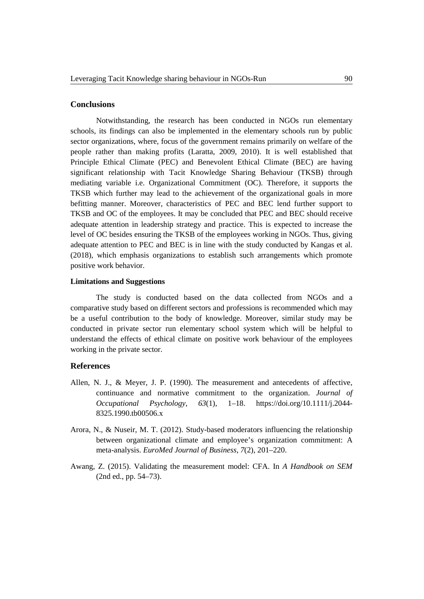## **Conclusions**

Notwithstanding, the research has been conducted in NGOs run elementary schools, its findings can also be implemented in the elementary schools run by public sector organizations, where, focus of the government remains primarily on welfare of the people rather than making profits (Laratta, 2009, 2010). It is well established that Principle Ethical Climate (PEC) and Benevolent Ethical Climate (BEC) are having significant relationship with Tacit Knowledge Sharing Behaviour (TKSB) through mediating variable i.e. Organizational Commitment (OC). Therefore, it supports the TKSB which further may lead to the achievement of the organizational goals in more befitting manner. Moreover, characteristics of PEC and BEC lend further support to TKSB and OC of the employees. It may be concluded that PEC and BEC should receive adequate attention in leadership strategy and practice. This is expected to increase the level of OC besides ensuring the TKSB of the employees working in NGOs. Thus, giving adequate attention to PEC and BEC is in line with the study conducted by Kangas et al. (2018), which emphasis organizations to establish such arrangements which promote positive work behavior.

#### **Limitations and Suggestions**

The study is conducted based on the data collected from NGOs and a comparative study based on different sectors and professions is recommended which may be a useful contribution to the body of knowledge. Moreover, similar study may be conducted in private sector run elementary school system which will be helpful to understand the effects of ethical climate on positive work behaviour of the employees working in the private sector.

# **References**

- Allen, N. J., & Meyer, J. P. (1990). The measurement and antecedents of affective, continuance and normative commitment to the organization. *Journal of Occupational Psychology*, *63*(1), 1–18. https://doi.org/10.1111/j.2044- 8325.1990.tb00506.x
- Arora, N., & Nuseir, M. T. (2012). Study-based moderators influencing the relationship between organizational climate and employee's organization commitment: A meta-analysis. *EuroMed Journal of Business*, *7*(2), 201–220.
- Awang, Z. (2015). Validating the measurement model: CFA. In *A Handbook on SEM* (2nd ed., pp. 54–73).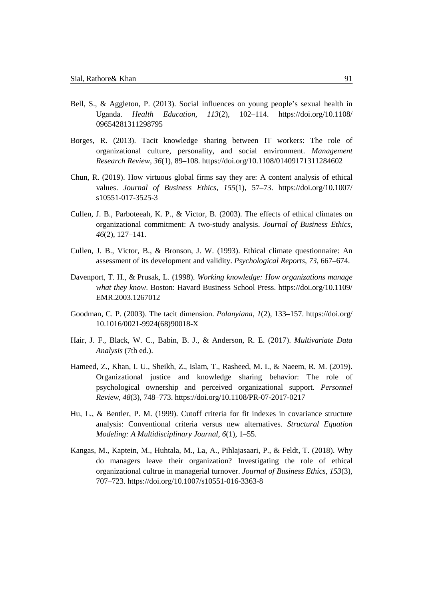- Bell, S., & Aggleton, P. (2013). Social influences on young people's sexual health in Uganda. *Health Education*, *113*(2), 102–114. https://doi.org/10.1108/ 09654281311298795
- Borges, R. (2013). Tacit knowledge sharing between IT workers: The role of organizational culture, personality, and social environment. *Management Research Review*, *36*(1), 89–108. https://doi.org/10.1108/01409171311284602
- Chun, R. (2019). How virtuous global firms say they are: A content analysis of ethical values. *Journal of Business Ethics*, *155*(1), 57–73. https://doi.org/10.1007/ s10551-017-3525-3
- Cullen, J. B., Parboteeah, K. P., & Victor, B. (2003). The effects of ethical climates on organizational commitment: A two-study analysis. *Journal of Business Ethics*, *46*(2), 127–141.
- Cullen, J. B., Victor, B., & Bronson, J. W. (1993). Ethical climate questionnaire: An assessment of its development and validity. *Psychological Reports*, *73*, 667–674.
- Davenport, T. H., & Prusak, L. (1998). *Working knowledge: How organizations manage what they know*. Boston: Havard Business School Press. https://doi.org/10.1109/ EMR.2003.1267012
- Goodman, C. P. (2003). The tacit dimension. *Polanyiana*, *1*(2), 133–157. https://doi.org/ 10.1016/0021-9924(68)90018-X
- Hair, J. F., Black, W. C., Babin, B. J., & Anderson, R. E. (2017). *Multivariate Data Analysis* (7th ed.).
- Hameed, Z., Khan, I. U., Sheikh, Z., Islam, T., Rasheed, M. I., & Naeem, R. M. (2019). Organizational justice and knowledge sharing behavior: The role of psychological ownership and perceived organizational support. *Personnel Review*, *48*(3), 748–773. https://doi.org/10.1108/PR-07-2017-0217
- Hu, L., & Bentler, P. M. (1999). Cutoff criteria for fit indexes in covariance structure analysis: Conventional criteria versus new alternatives. *Structural Equation Modeling: A Multidisciplinary Journal*, *6*(1), 1–55.
- Kangas, M., Kaptein, M., Huhtala, M., La, A., Pihlajasaari, P., & Feldt, T. (2018). Why do managers leave their organization? Investigating the role of ethical organizational cultrue in managerial turnover. *Journal of Business Ethics*, *153*(3), 707–723. https://doi.org/10.1007/s10551-016-3363-8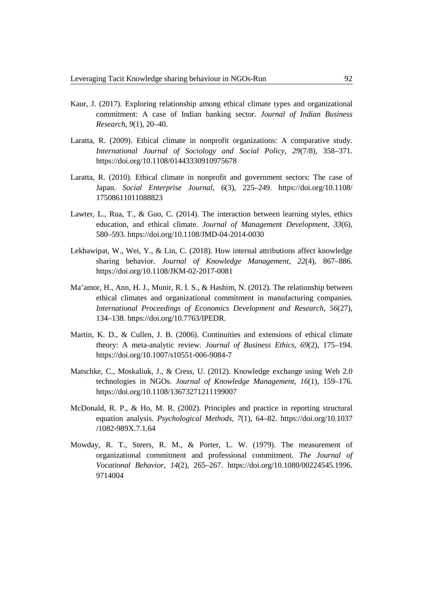- Kaur, J. (2017). Exploring relationship among ethical climate types and organizational commitment: A case of Indian banking sector. *Journal of Indian Business Research*, *9*(1), 20–40.
- Laratta, R. (2009). Ethical climate in nonprofit organizations: A comparative study. *International Journal of Sociology and Social Policy*, *29*(7/8), 358–371. https://doi.org/10.1108/01443330910975678
- Laratta, R. (2010). Ethical climate in nonprofit and government sectors: The case of Japan. *Social Enterprise Journal*, *6*(3), 225–249. https://doi.org/10.1108/ 17508611011088823
- Lawter, L., Rua, T., & Guo, C. (2014). The interaction between learning styles, ethics education, and ethical climate. *Journal of Management Development*, *33*(6), 580–593. https://doi.org/10.1108/JMD-04-2014-0030
- Lekhawipat, W., Wei, Y., & Lin, C. (2018). How internal attributions affect knowledge sharing behavior. *Journal of Knowledge Management*, *22*(4), 867–886. https://doi.org/10.1108/JKM-02-2017-0081
- Ma'amor, H., Ann, H. J., Munir, R. I. S., & Hashim, N. (2012). The relationship between ethical climates and organizational commitment in manufacturing companies. *International Proceedings of Economics Development and Research*, *56*(27), 134–138. https://doi.org/10.7763/IPEDR.
- Martin, K. D., & Cullen, J. B. (2006). Continuities and extensions of ethical climate theory: A meta-analytic review. *Journal of Business Ethics*, *69*(2), 175–194. https://doi.org/10.1007/s10551-006-9084-7
- Matschke, C., Moskaliuk, J., & Cress, U. (2012). Knowledge exchange using Web 2.0 technologies in NGOs. *Journal of Knowledge Management*, *16*(1), 159–176. https://doi.org/10.1108/13673271211199007
- McDonald, R. P., & Ho, M. R. (2002). Principles and practice in reporting structural equation analysis. *Psychological Methods*, *7*(1), 64–82. https://doi.org/10.1037 /1082-989X.7.1.64
- Mowday, R. T., Steers, R. M., & Porter, L. W. (1979). The measurement of organizational commitment and professional commitment. *The Journal of Vocational Behavior*, *14*(2), 265–267. https://doi.org/10.1080/00224545.1996. 9714004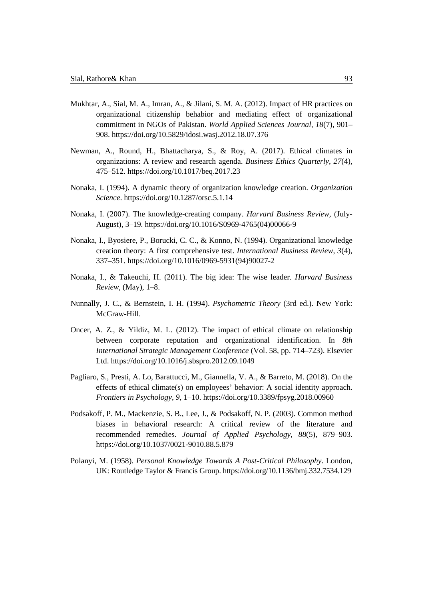- Mukhtar, A., Sial, M. A., Imran, A., & Jilani, S. M. A. (2012). Impact of HR practices on organizational citizenship behabior and mediating effect of organizational commitment in NGOs of Pakistan. *World Applied Sciences Journal*, *18*(7), 901– 908. https://doi.org/10.5829/idosi.wasj.2012.18.07.376
- Newman, A., Round, H., Bhattacharya, S., & Roy, A. (2017). Ethical climates in organizations: A review and research agenda. *Business Ethics Quarterly*, *27*(4), 475–512. https://doi.org/10.1017/beq.2017.23
- Nonaka, I. (1994). A dynamic theory of organization knowledge creation. *Organization Science*. https://doi.org/10.1287/orsc.5.1.14
- Nonaka, I. (2007). The knowledge-creating company. *Harvard Business Review*, (July-August), 3–19. https://doi.org/10.1016/S0969-4765(04)00066-9
- Nonaka, I., Byosiere, P., Borucki, C. C., & Konno, N. (1994). Organizational knowledge creation theory: A first comprehensive test. *International Business Review*, *3*(4), 337–351. https://doi.org/10.1016/0969-5931(94)90027-2
- Nonaka, I., & Takeuchi, H. (2011). The big idea: The wise leader. *Harvard Business Review*, (May), 1–8.
- Nunnally, J. C., & Bernstein, I. H. (1994). *Psychometric Theory* (3rd ed.). New York: McGraw-Hill.
- Oncer, A. Z., & Yildiz, M. L. (2012). The impact of ethical climate on relationship between corporate reputation and organizational identification. In *8th International Strategic Management Conference* (Vol. 58, pp. 714–723). Elsevier Ltd. https://doi.org/10.1016/j.sbspro.2012.09.1049
- Pagliaro, S., Presti, A. Lo, Barattucci, M., Giannella, V. A., & Barreto, M. (2018). On the effects of ethical climate(s) on employees' behavior: A social identity approach. *Frontiers in Psychology*, *9*, 1–10. https://doi.org/10.3389/fpsyg.2018.00960
- Podsakoff, P. M., Mackenzie, S. B., Lee, J., & Podsakoff, N. P. (2003). Common method biases in behavioral research: A critical review of the literature and recommended remedies. *Journal of Applied Psychology*, *88*(5), 879–903. https://doi.org/10.1037/0021-9010.88.5.879
- Polanyi, M. (1958). *Personal Knowledge Towards A Post-Critical Philosophy*. London, UK: Routledge Taylor & Francis Group. https://doi.org/10.1136/bmj.332.7534.129